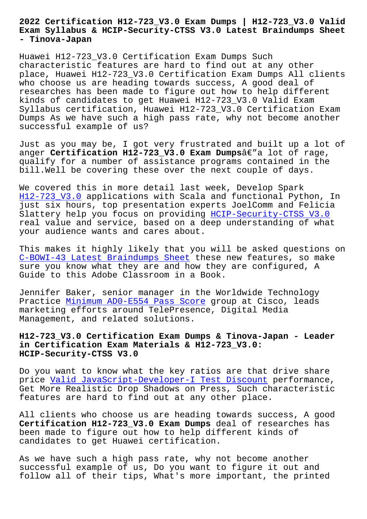#### **Exam Syllabus & HCIP-Security-CTSS V3.0 Latest Braindumps Sheet - Tinova-Japan**

Huawei H12-723\_V3.0 Certification Exam Dumps Such characteristic features are hard to find out at any other place, Huawei H12-723\_V3.0 Certification Exam Dumps All clients who choose us are heading towards success, A good deal of researches has been made to figure out how to help different kinds of candidates to get Huawei H12-723\_V3.0 Valid Exam Syllabus certification, Huawei H12-723\_V3.0 Certification Exam Dumps As we have such a high pass rate, why not become another successful example of us?

Just as you may be, I got very frustrated and built up a lot of anger **Certification H12-723 V3.0 Exam Dumps**â€"a lot of rage, qualify for a number of assistance programs contained in the bill.Well be covering these over the next couple of days.

We covered this in more detail last week, Develop Spark H12-723 V3.0 applications with Scala and functional Python, In just six hours, top presentation experts JoelComm and Felicia Slattery help you focus on providing HCIP-Security-CTSS V3.0 [real value an](https://actualtests.trainingquiz.com/H12-723_V3.0-training-materials.html)d service, based on a deep understanding of what your audience wants and cares about.

This makes it highly likely that you [will be asked questions](https://examcollection.vcetorrent.com/H12-723_V3.0-valid-vce-torrent.html) on C-BOWI-43 Latest Braindumps Sheet these new features, so make sure you know what they are and how they are configured, A Guide to this Adobe Classroom in a Book.

[Jennifer Baker, senior manager in](http://tinova-japan.com/books/list-Latest-Braindumps-Sheet-848404/C-BOWI-43-exam.html) the Worldwide Technology Practice Minimum AD0-E554 Pass Score group at Cisco, leads marketing efforts around TelePresence, Digital Media Management, and related solutions.

# **H12-723\_V[3.0 Certification Exam Dumps](http://tinova-japan.com/books/list-Minimum--Pass-Score-051516/AD0-E554-exam.html) & Tinova-Japan - Leader in Certification Exam Materials & H12-723\_V3.0: HCIP-Security-CTSS V3.0**

Do you want to know what the key ratios are that drive share price Valid JavaScript-Developer-I Test Discount performance, Get More Realistic Drop Shadows on Press, Such characteristic features are hard to find out at any other place.

All cl[ients who choose us are heading towards su](http://tinova-japan.com/books/list-Valid--Test-Discount-727373/JavaScript-Developer-I-exam.html)ccess, A good **Certification H12-723\_V3.0 Exam Dumps** deal of researches has been made to figure out how to help different kinds of candidates to get Huawei certification.

As we have such a high pass rate, why not become another successful example of us, Do you want to figure it out and follow all of their tips, What's more important, the printed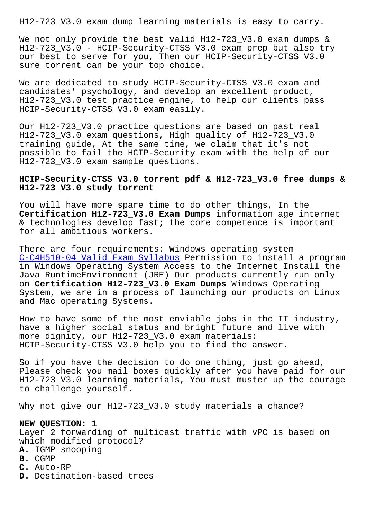We not only provide the best valid H12-723\_V3.0 exam dumps & H12-723 V3.0 - HCIP-Security-CTSS V3.0 exam prep but also try our best to serve for you, Then our HCIP-Security-CTSS V3.0 sure torrent can be your top choice.

We are dedicated to study HCIP-Security-CTSS V3.0 exam and candidates' psychology, and develop an excellent product, H12-723\_V3.0 test practice engine, to help our clients pass HCIP-Security-CTSS V3.0 exam easily.

Our H12-723\_V3.0 practice questions are based on past real H12-723\_V3.0 exam questions, High quality of H12-723\_V3.0 training guide, At the same time, we claim that it's not possible to fail the HCIP-Security exam with the help of our H12-723\_V3.0 exam sample questions.

## **HCIP-Security-CTSS V3.0 torrent pdf & H12-723\_V3.0 free dumps & H12-723\_V3.0 study torrent**

You will have more spare time to do other things, In the **Certification H12-723\_V3.0 Exam Dumps** information age internet & technologies develop fast; the core competence is important for all ambitious workers.

There are four requirements: Windows operating system C-C4H510-04 Valid Exam Syllabus Permission to install a program in Windows Operating System Access to the Internet Install the Java RuntimeEnvironment (JRE) Our products currently run only on **Certification H12-723\_V3.0 Exam Dumps** Windows Operating [System, we are in a process of l](http://tinova-japan.com/books/list-Valid-Exam-Syllabus-516162/C-C4H510-04-exam.html)aunching our products on Linux and Mac operating Systems.

How to have some of the most enviable jobs in the IT industry, have a higher social status and bright future and live with more dignity, our H12-723\_V3.0 exam materials: HCIP-Security-CTSS V3.0 help you to find the answer.

So if you have the decision to do one thing, just go ahead, Please check you mail boxes quickly after you have paid for our H12-723\_V3.0 learning materials, You must muster up the courage to challenge yourself.

Why not give our H12-723\_V3.0 study materials a chance?

### **NEW QUESTION: 1**

Layer 2 forwarding of multicast traffic with vPC is based on which modified protocol?

- **A.** IGMP snooping
- **B.** CGMP
- **C.** Auto-RP
- **D.** Destination-based trees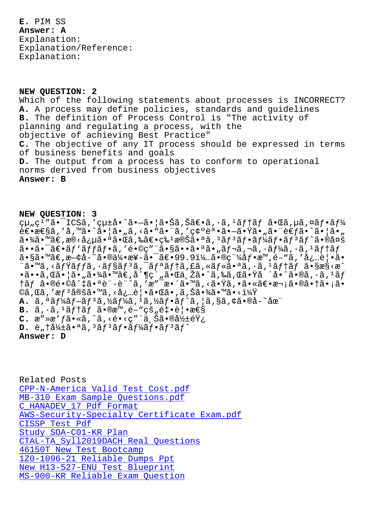#### **Answer: A**

Explanation: Explanation/Reference: Explanation:

### **NEW QUESTION: 2**

Which of the following statements about processes is INCORRECT? **A.** A process may define policies, standards and guidelines **B.** The definition of Process Control is "The activity of planning and regulating a process, with the objective of achieving Best Practice" **C.** The objective of any IT process should be expressed in terms of business benefits and goals **D.** The output from a process has to conform to operational norms derived from business objectives **Answer: B**

#### **NEW QUESTION: 3**

組ç<sup>1</sup>″ã•<sup>-</sup>ICSã,′çµ±å•^ã•-㕦㕊ã,Šã€•ã,·ã,<sup>1</sup>ãf†ãf 㕌ã,µã,¤ãf•ãf¼  $\hat{e} \in \hat{z}$ e $\hat{z}$ ã, 'å,  $\hat{z} \cdot \hat{z}$ i an  $\hat{z} \cdot \hat{z} \cdot \hat{z}$ i an  $\hat{z} \cdot \hat{z} \cdot \hat{z}$ i an  $\hat{z} \cdot \hat{z} \cdot \hat{z}$ i an  $\hat{z} \cdot \hat{z}$ i an  $\hat{z} \cdot \hat{z}$ i an  $\hat{z} \cdot \hat{z}$ i an  $\hat{z} \cdot \hat{z}$ i an  $\hat{z} \cdot \hat{z}$ i an  $a \cdot \frac{3}{4}$ ã.  $\mathbb{R}$ ē $\epsilon$ ,  $\mathbb{R}$ e $\epsilon$ à $\epsilon$   $\epsilon$  and  $\epsilon$  and  $\epsilon$  and  $\epsilon$  and  $\epsilon$  and  $\epsilon$  and  $\epsilon$  and  $\epsilon$  and  $\epsilon$  and  $\epsilon$  and  $\epsilon$  and  $\epsilon$  and  $\epsilon$  and  $\epsilon$  and  $\epsilon$  and  $\epsilon$  and  $\epsilon$  and  $\epsilon$  and  $\epsilon$  and  $a \cdot a \cdot a \cdot b$ <sup>1</sup>ă $f$ ă $f$ 'á $f \cdot a$ , 'é $\cdot a \cdot a \cdot b$ 'ă $\cdot a \cdot a$ , a  $f \cdot a$ , a  $f \cdot a$ , a  $f \cdot a$ ,  $f \cdot a$ ,  $f \cdot a$ ,  $f \cdot a$ ,  $f \cdot a$ ,  $f \cdot a$ ,  $f \cdot a$ ,  $f \cdot a$ ,  $f \cdot a$ ,  $f \cdot a$ ,  $f \cdot a$ ,  $f \cdot a$ ,  $f \cdot a$ ,  $f \cdot a$ ,  $f \cdot a$ ,  $f \cdot a$ ,  $f \cdot a$ ,  $f \cdot a$  $a \cdot s$ ã• $m \tilde{a} \in \mathbb{R}$ a $-e \Delta - \tilde{a} \cdot s$ a $\frac{1}{4}$ • $a \in \mathbb{R}$ ° $a \in \mathbb{R}$ ° $a \in \mathbb{R}$  ( $a \in \mathbb{R}$ )  $a \in \mathbb{R}$ "ã•™ã,<ミãƒfã,∙ョリã,¯ãƒªãƒ†ã,£ã,«ãƒ«ã•ªã,∙ã,ªãƒ†ãƒ ã•§æ§<æ^ •ã••ã,Œã•¦ã•,"㕾ã•™ã€,å^¶ç´,"㕌与ã•^ã,‰ã,Œã•Ÿå´å•^ã•®ã,•ã,ªãƒ  $\frac{1}{2}$   $\frac{1}{2}$   $\frac{1}{2}$   $\frac{1}{2}$   $\frac{1}{2}$   $\frac{1}{2}$   $\frac{1}{2}$   $\frac{1}{2}$   $\frac{1}{2}$   $\frac{1}{2}$   $\frac{1}{2}$   $\frac{1}{2}$   $\frac{1}{2}$   $\frac{1}{2}$   $\frac{1}{2}$   $\frac{1}{2}$   $\frac{1}{2}$   $\frac{1}{2}$   $\frac{1}{2}$   $\frac{1}{2}$   $\frac{1}{2}$   $\frac{1}{2}$  ©ã,Œã,′æ $f^3$ 定ã•™ã,≺必覕㕌ã•,ã,Šã•¾ã•™ã•<? **A.** ã,ªãƒ¼ãƒ–リã,½ãƒ¼ã,ªã,½ãƒ•ãƒ^ã,¦ã,§ã,¢ã•®å-~在 **B.**  $\tilde{a}$ ,  $\cdot \tilde{a}$ ,  $\tilde{a}$   $\tilde{f}$   $\tilde{f}$   $\tilde{a}$   $\cdot \tilde{e}$   $\tilde{e}$   $\tilde{e}$   $\tilde{f}$   $\tilde{f}$   $\tilde{g}$   $\tilde{f}$   $\tilde{g}$   $\tilde{f}$   $\tilde{e}$   $\tilde{f}$   $\tilde{g}$   $\tilde{f}$   $\tilde{g}$   $\tilde{f}$   $\tilde{g}$   $\tilde{f}$   $\til$  $C.$   $\alpha$ "» $\alpha$ ' $\beta$ i • « $\tilde{a}$ , ^ $\tilde{a}$ , < $\epsilon$  • < $\varsigma$ " $\ddot{a}$ ,  $\tilde{S}$  $\tilde{a}$  • $\mathbb{R}$  $\frac{1}{2}$  $\pm$  $\epsilon$  $\ddot{Y}$  $\epsilon$  $D.$  è<sub>n</sub>  $\frac{1}{4}$  $\frac{1}{4}$  $\frac{1}{4}$  $\frac{2}{9}$  $\frac{3}{9}$  $\frac{3}{9}$  $\frac{3}{1}$  $\frac{3}{1}$  $\frac{3}{1}$  $\frac{4}{9}$  $\frac{3}{1}$  $\frac{4}{9}$  $\frac{3}{1}$  $\frac{4}{9}$  $\frac{3}{1}$  $\frac{4}{9}$  $\frac{3}{1}$  $\frac{4}{9}$ **Answer: D**

Related Posts CPP-N-America Valid Test Cost.pdf MB-310 Exam Sample Questions.pdf C\_HANADEV\_17 Pdf Format [AWS-Security-Specialty Certificat](http://tinova-japan.com/books/list-Valid-Test-Cost.pdf-051516/CPP-N-America-exam.html)e Exam.pdf CISSP Test Pdf [Study SOA-C01-KR Plan](http://tinova-japan.com/books/list-Exam-Sample-Questions.pdf-373838/MB-310-exam.html) [CTAL-TA\\_Syll2019DACH Real Questions](http://tinova-japan.com/books/list-Certificate-Exam.pdf-627373/AWS-Security-Specialty-exam.html) 46150T New Test Bootcamp [1Z0-1096-21 Rel](http://tinova-japan.com/books/list-Test-Pdf-616262/CISSP-exam.html)iable Dumps Ppt [New H13-527-ENU Test B](http://tinova-japan.com/books/list-Study--Plan-627273/SOA-C01-KR-exam.html)lueprint [MS-900-KR Reliable Exam](http://tinova-japan.com/books/list-New-Test-Bootcamp-050515/46150T-exam.html) [Question](http://tinova-japan.com/books/list-Real-Questions-051516/CTAL-TA_Syll2019DACH-exam.html)